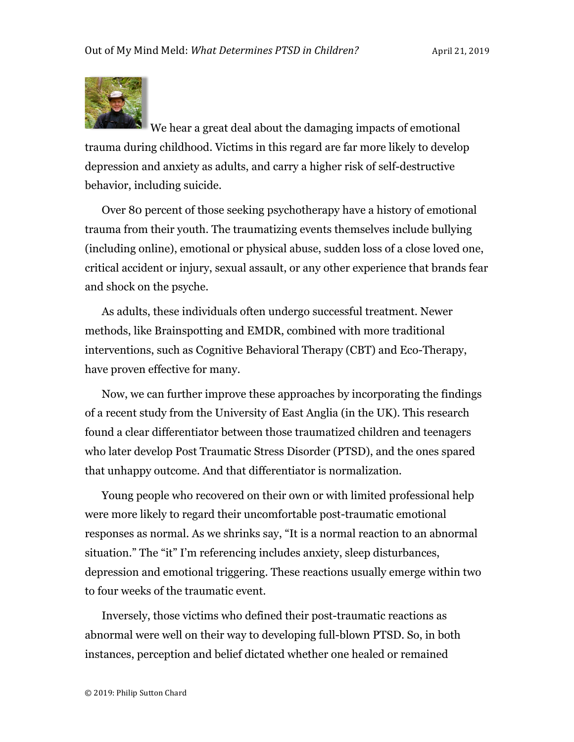

We hear a great deal about the damaging impacts of emotional trauma during childhood. Victims in this regard are far more likely to develop depression and anxiety as adults, and carry a higher risk of self-destructive behavior, including suicide.

Over 80 percent of those seeking psychotherapy have a history of emotional trauma from their youth. The traumatizing events themselves include bullying (including online), emotional or physical abuse, sudden loss of a close loved one, critical accident or injury, sexual assault, or any other experience that brands fear and shock on the psyche.

As adults, these individuals often undergo successful treatment. Newer methods, like Brainspotting and EMDR, combined with more traditional interventions, such as Cognitive Behavioral Therapy (CBT) and Eco-Therapy, have proven effective for many.

Now, we can further improve these approaches by incorporating the findings of a recent study from the University of East Anglia (in the UK). This research found a clear differentiator between those traumatized children and teenagers who later develop Post Traumatic Stress Disorder (PTSD), and the ones spared that unhappy outcome. And that differentiator is normalization.

Young people who recovered on their own or with limited professional help were more likely to regard their uncomfortable post-traumatic emotional responses as normal. As we shrinks say, "It is a normal reaction to an abnormal situation." The "it" I'm referencing includes anxiety, sleep disturbances, depression and emotional triggering. These reactions usually emerge within two to four weeks of the traumatic event.

Inversely, those victims who defined their post-traumatic reactions as abnormal were well on their way to developing full-blown PTSD. So, in both instances, perception and belief dictated whether one healed or remained